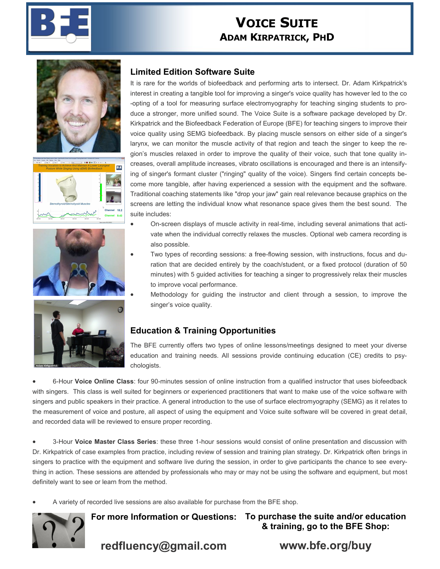











#### **Limited Edition Software Suite**

It is rare for the worlds of biofeedback and performing arts to intersect. Dr. Adam Kirkpatrick's interest in creating a tangible tool for improving a singer's voice quality has however led to the co -opting of a tool for measuring surface electromyography for teaching singing students to produce a stronger, more unified sound. The Voice Suite is a software package developed by Dr. Kirkpatrick and the Biofeedback Federation of Europe (BFE) for teaching singers to improve their voice quality using SEMG biofeedback. By placing muscle sensors on either side of a singer's larynx, we can monitor the muscle activity of that region and teach the singer to keep the region's muscles relaxed in order to improve the quality of their voice, such that tone quality increases, overall amplitude increases, vibrato oscillations is encouraged and there is an intensifying of singer's formant cluster ("ringing" quality of the voice). Singers find certain concepts become more tangible, after having experienced a session with the equipment and the software. Traditional coaching statements like "drop your jaw" gain real relevance because graphics on the screens are letting the individual know what resonance space gives them the best sound. The suite includes:

- On-screen displays of muscle activity in real-time, including several animations that activate when the individual correctly relaxes the muscles. Optional web camera recording is also possible.
- Two types of recording sessions: a free-flowing session, with instructions, focus and duration that are decided entirely by the coach/student, or a fixed protocol (duration of 50 minutes) with 5 guided activities for teaching a singer to progressively relax their muscles to improve vocal performance.
	- Methodology for guiding the instructor and client through a session, to improve the singer's voice quality.

#### **Education & Training Opportunities**

The BFE currently offers two types of online lessons/meetings designed to meet your diverse education and training needs. All sessions provide continuing education (CE) credits to psychologists.

 6-Hour **Voice Online Class**: four 90-minutes session of online instruction from a qualified instructor that uses biofeedback with singers. This class is well suited for beginners or experienced practitioners that want to make use of the voice software with singers and public speakers in their practice. A general introduction to the use of surface electromyography (SEMG) as it relates to the measurement of voice and posture, all aspect of using the equipment and Voice suite software will be covered in great detail, and recorded data will be reviewed to ensure proper recording.

 3-Hour **Voice Master Class Series**: these three 1-hour sessions would consist of online presentation and discussion with Dr. Kirkpatrick of case examples from practice, including review of session and training plan strategy. Dr. Kirkpatrick often brings in singers to practice with the equipment and software live during the session, in order to give participants the chance to see everything in action. These sessions are attended by professionals who may or may not be using the software and equipment, but most definitely want to see or learn from the method.

A variety of recorded live sessions are also available for purchase from the BFE shop.



**For more Information or Questions: To purchase the suite and/or education & training, go to the BFE Shop:**

**redfluency@gmail.com**

**www.bfe.org/buy**